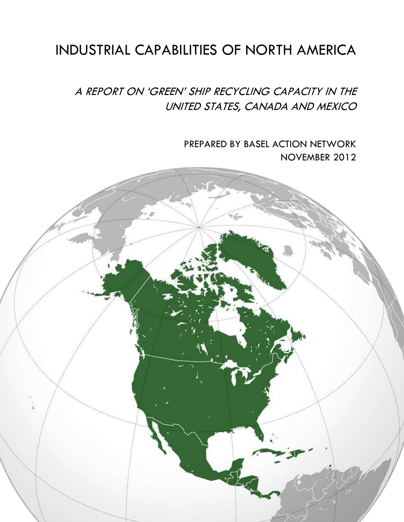# INDUSTRIAL CAPABILITIES OF NORTH AMERICA

## A REPORT ON 'GREEN' SHIP RECYCLING CAPACITY IN THE UNITED STATES, CANADA AND MEXICO

PREPARED BY BASEL ACTION NETWORK NOVEMBER 2012

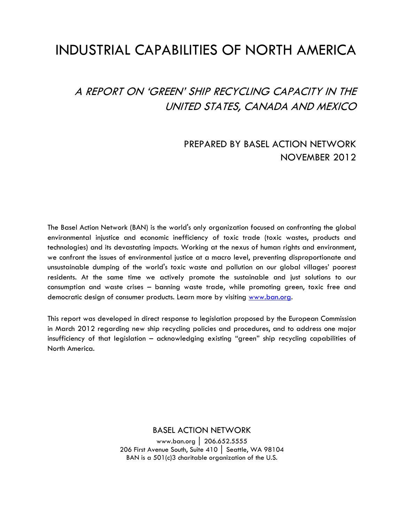# INDUSTRIAL CAPABILITIES OF NORTH AMERICA

## A REPORT ON 'GREEN' SHIP RECYCLING CAPACITY IN THE UNITED STATES, CANADA AND MEXICO

### PREPARED BY BASEL ACTION NETWORK NOVEMBER 2012

The Basel Action Network (BAN) is the world's only organization focused on confronting the global environmental injustice and economic inefficiency of toxic trade (toxic wastes, products and technologies) and its devastating impacts. Working at the nexus of human rights and environment, we confront the issues of environmental justice at a macro level, preventing disproportionate and unsustainable dumping of the world's toxic waste and pollution on our global villages' poorest residents. At the same time we actively promote the sustainable and just solutions to our consumption and waste crises – banning waste trade, while promoting green, toxic free and democratic design of consumer products. Learn more by visiting [www.ban.org.](http://www.ban.org/)

This report was developed in direct response to legislation proposed by the European Commission in March 2012 regarding new ship recycling policies and procedures, and to address one major insufficiency of that legislation – acknowledging existing "green" ship recycling capabilities of North America.

> BASEL ACTION NETWORK www.ban.org | 206.652.5555 206 First Avenue South, Suite 410 | Seattle, WA 98104 BAN is a 501(c)3 charitable organization of the U.S.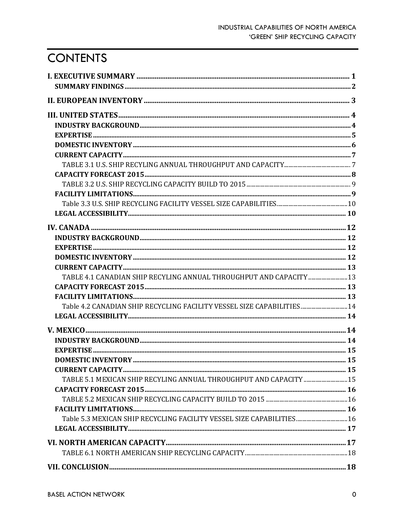# **CONTENTS**

| Table 4.2 CANADIAN SHIP RECYCLING FACILITY VESSEL SIZE CAPABILITIES 14 |  |
|------------------------------------------------------------------------|--|
|                                                                        |  |
|                                                                        |  |
|                                                                        |  |
|                                                                        |  |
|                                                                        |  |
|                                                                        |  |
| TABLE 5.1 MEXICAN SHIP RECYLING ANNUAL THROUGHPUT AND CAPACITY  15     |  |
|                                                                        |  |
|                                                                        |  |
|                                                                        |  |
| Table 5.3 MEXICAN SHIP RECYCLING FACILITY VESSEL SIZE CAPABILITIES 16  |  |
|                                                                        |  |
|                                                                        |  |
|                                                                        |  |
|                                                                        |  |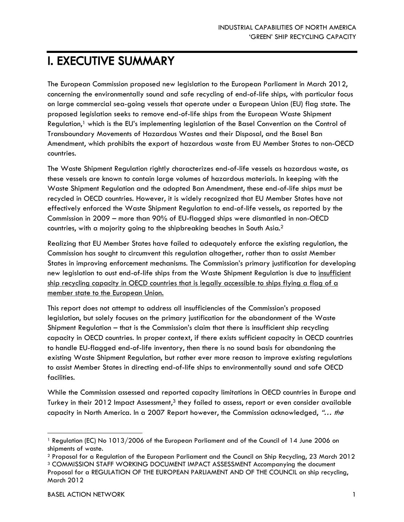## <span id="page-3-0"></span>I. EXECUTIVE SUMMARY

The European Commission proposed new legislation to the European Parliament in March 2012, concerning the environmentally sound and safe recycling of end-of-life ships, with particular focus on large commercial sea-going vessels that operate under a European Union (EU) flag state. The proposed legislation seeks to remove end-of-life ships from the European Waste Shipment Regulation,<sup>1</sup> which is the EU's implementing legislation of the Basel Convention on the Control of Transboundary Movements of Hazardous Wastes and their Disposal, and the Basel Ban Amendment, which prohibits the export of hazardous waste from EU Member States to non-OECD countries.

The Waste Shipment Regulation rightly characterizes end-of-life vessels as hazardous waste, as these vessels are known to contain large volumes of hazardous materials. In keeping with the Waste Shipment Regulation and the adopted Ban Amendment, these end-of-life ships must be recycled in OECD countries. However, it is widely recognized that EU Member States have not effectively enforced the Waste Shipment Regulation to end-of-life vessels, as reported by the Commission in 2009 – more than 90% of EU-flagged ships were dismantled in non-OECD countries, with a majority going to the shipbreaking beaches in South Asia.<sup>2</sup>

Realizing that EU Member States have failed to adequately enforce the existing regulation, the Commission has sought to circumvent this regulation altogether, rather than to assist Member States in improving enforcement mechanisms. The Commission's primary justification for developing new legislation to oust end-of-life ships from the Waste Shipment Regulation is due to insufficient ship recycling capacity in OECD countries that is legally accessible to ships flying a flag of a member state to the European Union.

This report does not attempt to address all insufficiencies of the Commission's proposed legislation, but solely focuses on the primary justification for the abandonment of the Waste Shipment Regulation – that is the Commission's claim that there is insufficient ship recycling capacity in OECD countries. In proper context, if there exists sufficient capacity in OECD countries to handle EU-flagged end-of-life inventory, then there is no sound basis for abandoning the existing Waste Shipment Regulation, but rather ever more reason to improve existing regulations to assist Member States in directing end-of-life ships to environmentally sound and safe OECD facilities.

While the Commission assessed and reported capacity limitations in OECD countries in Europe and Turkey in their 2012 Impact Assessment,<sup>3</sup> they failed to assess, report or even consider available capacity in North America. In a 2007 Report however, the Commission acknowledged, "... the

Proposal for a REGULATION OF THE EUROPEAN PARLIAMENT AND OF THE COUNCIL on ship recycling, March 2012

<sup>&</sup>lt;sup>1</sup> Regulation (EC) No 1013/2006 of the European Parliament and of the Council of 14 June 2006 on shipments of waste.

<sup>2</sup> Proposal for a Regulation of the European Parliament and the Council on Ship Recycling, 23 March 2012 <sup>3</sup> COMMISSION STAFF WORKING DOCUMENT IMPACT ASSESSMENT Accompanying the document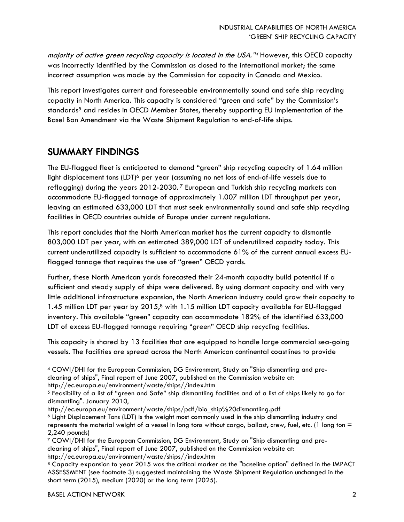majority of active green recycling capacity is located in the USA."4 However, this OECD capacity was incorrectly identified by the Commission as closed to the international market; the same incorrect assumption was made by the Commission for capacity in Canada and Mexico.

This report investigates current and foreseeable environmentally sound and safe ship recycling capacity in North America. This capacity is considered "green and safe" by the Commission's standards<sup>5</sup> and resides in OECD Member States, thereby supporting EU implementation of the Basel Ban Amendment via the Waste Shipment Regulation to end-of-life ships.

## <span id="page-4-0"></span>SUMMARY FINDINGS

The EU-flagged fleet is anticipated to demand "green" ship recycling capacity of 1.64 million light displacement tons (LDT) <sup>6</sup> per year (assuming no net loss of end-of-life vessels due to reflagging) during the years  $2012$ -2030.<sup>7</sup> European and Turkish ship recycling markets can accommodate EU-flagged tonnage of approximately 1.007 million LDT throughput per year, leaving an estimated 633,000 LDT that must seek environmentally sound and safe ship recycling facilities in OECD countries outside of Europe under current regulations.

This report concludes that the North American market has the current capacity to dismantle 803,000 LDT per year, with an estimated 389,000 LDT of underutilized capacity today. This current underutilized capacity is sufficient to accommodate 61% of the current annual excess EUflagged tonnage that requires the use of "green" OECD yards.

Further, these North American yards forecasted their 24-month capacity build potential if a sufficient and steady supply of ships were delivered. By using dormant capacity and with very little additional infrastructure expansion, the North American industry could grow their capacity to 1.45 million LDT per year by 2015,<sup>8</sup> with 1.15 million LDT capacity available for EU-flagged inventory. This available "green" capacity can accommodate 182% of the identified 633,000 LDT of excess EU-flagged tonnage requiring "green" OECD ship recycling facilities.

This capacity is shared by 13 facilities that are equipped to handle large commercial sea-going vessels. The facilities are spread across the North American continental coastlines to provide

 $\overline{a}$ <sup>4</sup> COWI/DHI for the European Commission, DG Environment, Study on "Ship dismantling and precleaning of ships", Final report of June 2007, published on the Commission website at: http://ec.europa.eu/environment/waste/ships//index.htm

<sup>5</sup> Feasibility of a list of "green and Safe" ship dismantling facilities and of a list of ships likely to go for dismantling". January 2010,

http://ec.europa.eu/environment/waste/ships/pdf/bio\_ship%20dismantling.pdf

<sup>6</sup> Light Displacement Tons (LDT) is the weight most commonly used in the ship dismantling industry and represents the material weight of a vessel in long tons without cargo, ballast, crew, fuel, etc. (1 long ton  $=$ 2,240 pounds)

<sup>7</sup> COWI/DHI for the European Commission, DG Environment, Study on "Ship dismantling and precleaning of ships", Final report of June 2007, published on the Commission website at: http://ec.europa.eu/environment/waste/ships//index.htm

<sup>8</sup> Capacity expansion to year 2015 was the critical marker as the "baseline option" defined in the IMPACT ASSESSMENT (see footnote 3) suggested maintaining the Waste Shipment Regulation unchanged in the short term (2015), medium (2020) or the long term (2025).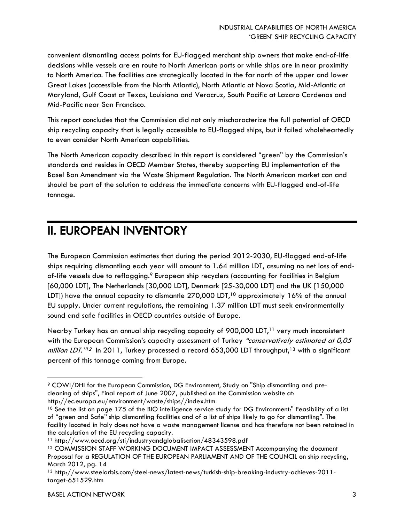convenient dismantling access points for EU-flagged merchant ship owners that make end-of-life decisions while vessels are en route to North American ports or while ships are in near proximity to North America. The facilities are strategically located in the far north of the upper and lower Great Lakes (accessible from the North Atlantic), North Atlantic at Nova Scotia, Mid-Atlantic at Maryland, Gulf Coast at Texas, Louisiana and Veracruz, South Pacific at Lazaro Cardenas and Mid-Pacific near San Francisco.

This report concludes that the Commission did not only mischaracterize the full potential of OECD ship recycling capacity that is legally accessible to EU-flagged ships, but it failed wholeheartedly to even consider North American capabilities.

The North American capacity described in this report is considered "green" by the Commission's standards and resides in OECD Member States, thereby supporting EU implementation of the Basel Ban Amendment via the Waste Shipment Regulation. The North American market can and should be part of the solution to address the immediate concerns with EU-flagged end-of-life tonnage.

# <span id="page-5-0"></span>II. EUROPEAN INVENTORY

The European Commission estimates that during the period 2012-2030, EU-flagged end-of-life ships requiring dismantling each year will amount to 1.64 million LDT, assuming no net loss of endof-life vessels due to reflagging.<sup>9</sup> European ship recyclers (accounting for facilities in Belgium [60,000 LDT], The Netherlands [30,000 LDT], Denmark [25-30,000 LDT] and the UK [150,000 LDT]) have the annual capacity to dismantle 270,000 LDT,<sup>10</sup> approximately 16% of the annual EU supply. Under current regulations, the remaining 1.37 million LDT must seek environmentally sound and safe facilities in OECD countries outside of Europe.

Nearby Turkey has an annual ship recycling capacity of 900,000 LDT, <sup>11</sup> very much inconsistent with the European Commission's capacity assessment of Turkey "conservatively estimated at 0,05 million LDT."<sup>12</sup> In 2011, Turkey processed a record 653,000 LDT throughput,<sup>13</sup> with a significant percent of this tonnage coming from Europe.

 $\overline{a}$ <sup>9</sup> COWI/DHI for the European Commission, DG Environment, Study on "Ship dismantling and precleaning of ships", Final report of June 2007, published on the Commission website at: http://ec.europa.eu/environment/waste/ships//index.htm

<sup>&</sup>lt;sup>10</sup> See the list on page 175 of the BIO intelligence service study for DG Environment:" Feasibility of a list of "green and Safe" ship dismantling facilities and of a list of ships likely to go for dismantling". The facility located in Italy does not have a waste management license and has therefore not been retained in the calculation of the EU recycling capacity.

<sup>11</sup> http://www.oecd.org/sti/industryandglobalisation/48343598.pdf

<sup>12</sup> COMMISSION STAFF WORKING DOCUMENT IMPACT ASSESSMENT Accompanying the document Proposal for a REGULATION OF THE EUROPEAN PARLIAMENT AND OF THE COUNCIL on ship recycling, March 2012, pg. 14

<sup>13</sup> http://www.steelorbis.com/steel-news/latest-news/turkish-ship-breaking-industry-achieves-2011 target-651529.htm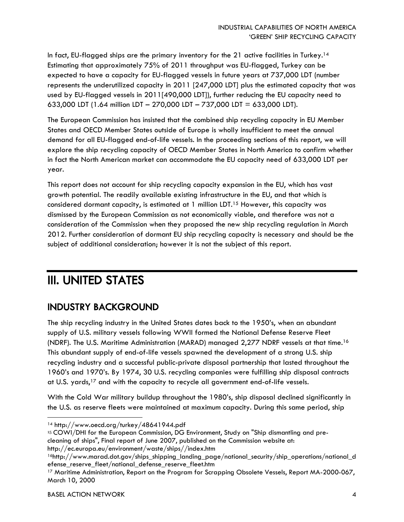In fact, EU-flagged ships are the primary inventory for the 21 active facilities in Turkey.<sup>14</sup> Estimating that approximately 75% of 2011 throughput was EU-flagged, Turkey can be expected to have a capacity for EU-flagged vessels in future years at 737,000 LDT (number represents the underutilized capacity in 2011 [247,000 LDT] plus the estimated capacity that was used by EU-flagged vessels in 2011[490,000 LDT]), further reducing the EU capacity need to 633,000 LDT (1.64 million LDT – 270,000 LDT – 737,000 LDT = 633,000 LDT).

The European Commission has insisted that the combined ship recycling capacity in EU Member States and OECD Member States outside of Europe is wholly insufficient to meet the annual demand for all EU-flagged end-of-life vessels. In the proceeding sections of this report, we will explore the ship recycling capacity of OECD Member States in North America to confirm whether in fact the North American market can accommodate the EU capacity need of 633,000 LDT per year.

This report does not account for ship recycling capacity expansion in the EU, which has vast growth potential. The readily available existing infrastructure in the EU, and that which is considered dormant capacity, is estimated at 1 million LDT.<sup>15</sup> However, this capacity was dismissed by the European Commission as not economically viable, and therefore was not a consideration of the Commission when they proposed the new ship recycling regulation in March 2012. Further consideration of dormant EU ship recycling capacity is necessary and should be the subject of additional consideration; however it is not the subject of this report.

# <span id="page-6-0"></span>III. UNITED STATES

## <span id="page-6-1"></span>INDUSTRY BACKGROUND

The ship recycling industry in the United States dates back to the 1950's, when an abundant supply of U.S. military vessels following WWII formed the National Defense Reserve Fleet (NDRF). The U.S. Maritime Administration (MARAD) managed 2,277 NDRF vessels at that time.<sup>16</sup> This abundant supply of end-of-life vessels spawned the development of a strong U.S. ship recycling industry and a successful public-private disposal partnership that lasted throughout the 1960's and 1970's. By 1974, 30 U.S. recycling companies were fulfilling ship disposal contracts at U.S. yards,<sup>17</sup> and with the capacity to recycle all government end-of-life vessels.

With the Cold War military buildup throughout the 1980's, ship disposal declined significantly in the U.S. as reserve fleets were maintained at maximum capacity. During this same period, ship

<sup>15</sup> COWI/DHI for the European Commission, DG Environment, Study on "Ship dismantling and precleaning of ships", Final report of June 2007, published on the Commission website at: http://ec.europa.eu/environment/waste/ships//index.htm

 $\overline{a}$ <sup>14</sup> http://www.oecd.org/turkey/48641944.pdf

<sup>16</sup>http://www.marad.dot.gov/ships\_shipping\_landing\_page/national\_security/ship\_operations/national\_d efense\_reserve\_fleet/national\_defense\_reserve\_fleet.htm

<sup>17</sup> Maritime Administration, Report on the Program for Scrapping Obsolete Vessels, Report MA-2000-067, March 10, 2000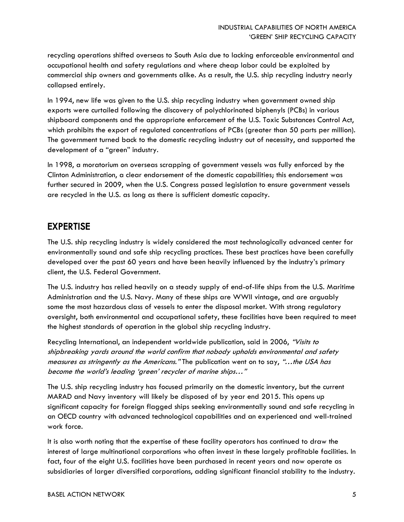recycling operations shifted overseas to South Asia due to lacking enforceable environmental and occupational health and safety regulations and where cheap labor could be exploited by commercial ship owners and governments alike. As a result, the U.S. ship recycling industry nearly collapsed entirely.

In 1994, new life was given to the U.S. ship recycling industry when government owned ship exports were curtailed following the discovery of polychlorinated biphenyls (PCBs) in various shipboard components and the appropriate enforcement of the U.S. Toxic Substances Control Act, which prohibits the export of regulated concentrations of PCBs (greater than 50 parts per million). The government turned back to the domestic recycling industry out of necessity, and supported the development of a "green" industry.

In 1998, a moratorium on overseas scrapping of government vessels was fully enforced by the Clinton Administration, a clear endorsement of the domestic capabilities; this endorsement was further secured in 2009, when the U.S. Congress passed legislation to ensure government vessels are recycled in the U.S. as long as there is sufficient domestic capacity.

### <span id="page-7-0"></span>EXPERTISE

The U.S. ship recycling industry is widely considered the most technologically advanced center for environmentally sound and safe ship recycling practices. These best practices have been carefully developed over the past 60 years and have been heavily influenced by the industry's primary client, the U.S. Federal Government.

The U.S. industry has relied heavily on a steady supply of end-of-life ships from the U.S. Maritime Administration and the U.S. Navy. Many of these ships are WWII vintage, and are arguably some the most hazardous class of vessels to enter the disposal market. With strong regulatory oversight, both environmental and occupational safety, these facilities have been required to meet the highest standards of operation in the global ship recycling industry.

Recycling International, an independent worldwide publication, said in 2006, "Visits to shipbreaking yards around the world confirm that nobody upholds environmental and safety measures as stringently as the Americans." The publication went on to say, "...the USA has become the world's leading 'green' recycler of marine ships…"

The U.S. ship recycling industry has focused primarily on the domestic inventory, but the current MARAD and Navy inventory will likely be disposed of by year end 2015. This opens up significant capacity for foreign flagged ships seeking environmentally sound and safe recycling in an OECD country with advanced technological capabilities and an experienced and well-trained work force.

It is also worth noting that the expertise of these facility operators has continued to draw the interest of large multinational corporations who often invest in these largely profitable facilities. In fact, four of the eight U.S. facilities have been purchased in recent years and now operate as subsidiaries of larger diversified corporations, adding significant financial stability to the industry.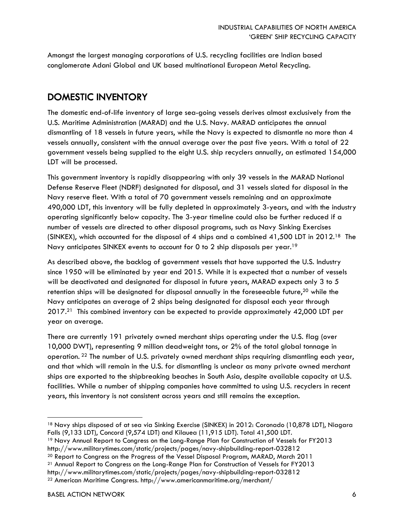Amongst the largest managing corporations of U.S. recycling facilities are Indian based conglomerate Adani Global and UK based multinational European Metal Recycling.

## <span id="page-8-0"></span>DOMESTIC INVENTORY

The domestic end-of-life inventory of large sea-going vessels derives almost exclusively from the U.S. Maritime Administration (MARAD) and the U.S. Navy. MARAD anticipates the annual dismantling of 18 vessels in future years, while the Navy is expected to dismantle no more than 4 vessels annually, consistent with the annual average over the past five years. With a total of 22 government vessels being supplied to the eight U.S. ship recyclers annually, an estimated 154,000 LDT will be processed.

This government inventory is rapidly disappearing with only 39 vessels in the MARAD National Defense Reserve Fleet (NDRF) designated for disposal, and 31 vessels slated for disposal in the Navy reserve fleet. With a total of 70 government vessels remaining and an approximate 490,000 LDT, this inventory will be fully depleted in approximately 3-years, and with the industry operating significantly below capacity. The 3-year timeline could also be further reduced if a number of vessels are directed to other disposal programs, such as Navy Sinking Exercises (SINKEX), which accounted for the disposal of 4 ships and a combined 41,500 LDT in 2012.<sup>18</sup> The Navy anticipates SINKEX events to account for 0 to 2 ship disposals per year.<sup>19</sup>

As described above, the backlog of government vessels that have supported the U.S. Industry since 1950 will be eliminated by year end 2015. While it is expected that a number of vessels will be deactivated and designated for disposal in future years, MARAD expects only 3 to 5 retention ships will be designated for disposal annually in the foreseeable future,<sup>20</sup> while the Navy anticipates an average of 2 ships being designated for disposal each year through 2017.<sup>21</sup> This combined inventory can be expected to provide approximately 42,000 LDT per year on average.

There are currently 191 privately owned merchant ships operating under the U.S. flag (over 10,000 DWT), representing 9 million deadweight tons, or 2% of the total global tonnage in operation. <sup>22</sup> The number of U.S. privately owned merchant ships requiring dismantling each year, and that which will remain in the U.S. for dismantling is unclear as many private owned merchant ships are exported to the shipbreaking beaches in South Asia, despite available capacity at U.S. facilities. While a number of shipping companies have committed to using U.S. recyclers in recent years, this inventory is not consistent across years and still remains the exception.

<sup>19</sup> Navy Annual Report to Congress on the Long-Range Plan for Construction of Vessels for FY2013 http://www.militarytimes.com/static/projects/pages/navy-shipbuilding-report-032812

 $\overline{a}$ <sup>18</sup> Navy ships disposed of at sea via Sinking Exercise (SINKEX) in 2012: Coronado (10,878 LDT), Niagara Falls (9,133 LDT), Concord (9,574 LDT) and Kilauea (11,915 LDT). Total 41,500 LDT.

<sup>&</sup>lt;sup>20</sup> Report to Congress on the Progress of the Vessel Disposal Program, MARAD, March 2011

<sup>21</sup> Annual Report to Congress on the Long-Range Plan for Construction of Vessels for FY2013

http://www.militarytimes.com/static/projects/pages/navy-shipbuilding-report-032812

<sup>22</sup> American Maritime Congress. http://www.americanmaritime.org/merchant/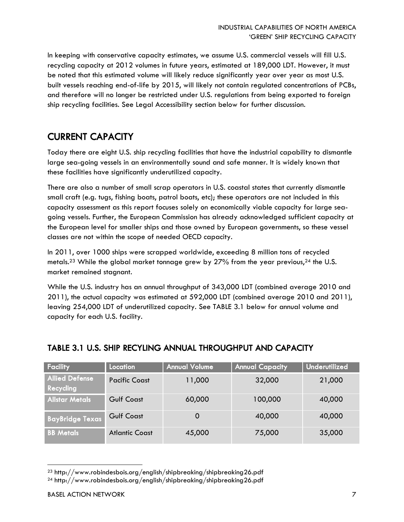In keeping with conservative capacity estimates, we assume U.S. commercial vessels will fill U.S. recycling capacity at 2012 volumes in future years, estimated at 189,000 LDT. However, it must be noted that this estimated volume will likely reduce significantly year over year as most U.S. built vessels reaching end-of-life by 2015, will likely not contain regulated concentrations of PCBs, and therefore will no longer be restricted under U.S. regulations from being exported to foreign ship recycling facilities. See Legal Accessibility section below for further discussion.

## <span id="page-9-0"></span>CURRENT CAPACITY

Today there are eight U.S. ship recycling facilities that have the industrial capability to dismantle large sea-going vessels in an environmentally sound and safe manner. It is widely known that these facilities have significantly underutilized capacity.

There are also a number of small scrap operators in U.S. coastal states that currently dismantle small craft (e.g. tugs, fishing boats, patrol boats, etc); these operators are not included in this capacity assessment as this report focuses solely on economically viable capacity for large seagoing vessels. Further, the European Commission has already acknowledged sufficient capacity at the European level for smaller ships and those owned by European governments, so these vessel classes are not within the scope of needed OECD capacity.

In 2011, over 1000 ships were scrapped worldwide, exceeding 8 million tons of recycled metals.<sup>23</sup> While the global market tonnage grew by  $27%$  from the year previous,<sup>24</sup> the U.S. market remained stagnant.

While the U.S. industry has an annual throughput of 343,000 LDT (combined average 2010 and 2011), the actual capacity was estimated at 592,000 LDT (combined average 2010 and 2011), leaving 254,000 LDT of underutilized capacity. See TABLE 3.1 below for annual volume and capacity for each U.S. facility.

| <b>Facility</b>                           | Location              | <b>Annual Volume</b> | <b>Annual Capacity</b> | Underutilized |
|-------------------------------------------|-----------------------|----------------------|------------------------|---------------|
| <b>Allied Defense</b><br><b>Recycling</b> | <b>Pacific Coast</b>  | 11,000               | 32,000                 | 21,000        |
| <b>Allstar Metals</b>                     | <b>Gulf Coast</b>     | 60,000               | 100,000                | 40,000        |
| <b>BayBridge Texas</b>                    | <b>Gulf Coast</b>     | O                    | 40,000                 | 40,000        |
| <b>BB Metals</b>                          | <b>Atlantic Coast</b> | 45,000               | 75,000                 | 35,000        |

### <span id="page-9-1"></span>TABLE 3.1 U.S. SHIP RECYLING ANNUAL THROUGHPUT AND CAPACITY

<sup>23</sup> http://www.robindesbois.org/english/shipbreaking/shipbreaking26.pdf <sup>24</sup> http://www.robindesbois.org/english/shipbreaking/shipbreaking26.pdf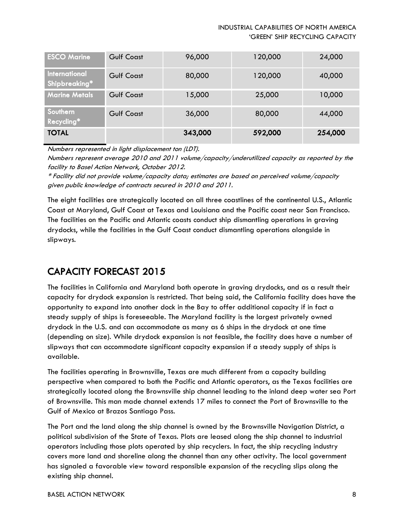#### INDUSTRIAL CAPABILITIES OF NORTH AMERICA 'GREEN' SHIP RECYCLING CAPACITY

| <b>ESCO Marine</b>                    | <b>Gulf Coast</b> | 96,000  | 120,000 | 24,000  |
|---------------------------------------|-------------------|---------|---------|---------|
| <b>International</b><br>Shipbreaking* | <b>Gulf Coast</b> | 80,000  | 120,000 | 40,000  |
| <b>Marine Metals</b>                  | <b>Gulf Coast</b> | 15,000  | 25,000  | 10,000  |
| Southern<br>Recycling*                | <b>Gulf Coast</b> | 36,000  | 80,000  | 44,000  |
| <b>TOTAL</b>                          |                   | 343,000 | 592,000 | 254,000 |

Numbers represented in light displacement ton (LDT).

Numbers represent average 2010 and 2011 volume/capacity/underutilized capacity as reported by the facility to Basel Action Network, October 2012.

\* Facility did not provide volume/capacity data; estimates are based on perceived volume/capacity given public knowledge of contracts secured in 2010 and 2011.

The eight facilities are strategically located on all three coastlines of the continental U.S., Atlantic Coast at Maryland, Gulf Coast at Texas and Louisiana and the Pacific coast near San Francisco. The facilities on the Pacific and Atlantic coasts conduct ship dismantling operations in graving drydocks, while the facilities in the Gulf Coast conduct dismantling operations alongside in slipways.

## <span id="page-10-0"></span>CAPACITY FORECAST 2015

The facilities in California and Maryland both operate in graving drydocks, and as a result their capacity for drydock expansion is restricted. That being said, the California facility does have the opportunity to expand into another dock in the Bay to offer additional capacity if in fact a steady supply of ships is foreseeable. The Maryland facility is the largest privately owned drydock in the U.S. and can accommodate as many as 6 ships in the drydock at one time (depending on size). While drydock expansion is not feasible, the facility does have a number of slipways that can accommodate significant capacity expansion if a steady supply of ships is available.

The facilities operating in Brownsville, Texas are much different from a capacity building perspective when compared to both the Pacific and Atlantic operators, as the Texas facilities are strategically located along the Brownsville ship channel leading to the inland deep water sea Port of Brownsville. This man made channel extends 17 miles to connect the Port of Brownsville to the Gulf of Mexico at Brazos Santiago Pass.

The Port and the land along the ship channel is owned by the Brownsville Navigation District, a political subdivision of the State of Texas. Plots are leased along the ship channel to industrial operators including those plots operated by ship recyclers. In fact, the ship recycling industry covers more land and shoreline along the channel than any other activity. The local government has signaled a favorable view toward responsible expansion of the recycling slips along the existing ship channel.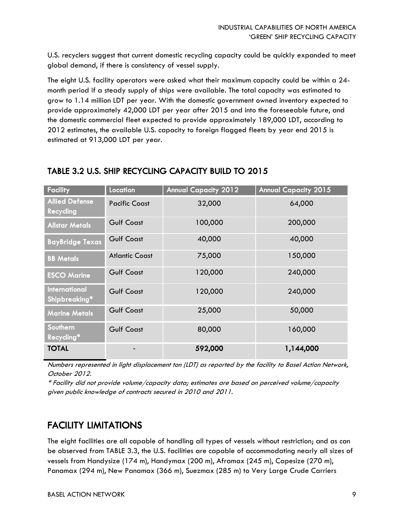U.S. recyclers suggest that current domestic recycling capacity could be quickly expanded to meet global demand, if there is consistency of vessel supply.

The eight U.S. facility operators were asked what their maximum capacity could be within a 24 month period if a steady supply of ships were available. The total capacity was estimated to grow to 1.14 million LDT per year. With the domestic government owned inventory expected to provide approximately 42,000 LDT per year after 2015 and into the foreseeable future, and the domestic commercial fleet expected to provide approximately 189,000 LDT, according to 2012 estimates, the available U.S. capacity to foreign flagged fleets by year end 2015 is estimated at 913,000 LDT per year.

<span id="page-11-0"></span>

| <b>Facility</b>                       | Location              | <b>Annual Capacity 2012</b> | <b>Annual Capacity 2015</b> |
|---------------------------------------|-----------------------|-----------------------------|-----------------------------|
| <b>Allied Defense</b><br>Recycling    | <b>Pacific Coast</b>  | 32,000                      | 64,000                      |
| <b>Allstar Metals</b>                 | <b>Gulf Coast</b>     | 100,000                     | 200,000                     |
| <b>BayBridge Texas</b>                | <b>Gulf Coast</b>     | 40,000                      | 40,000                      |
| <b>BB Metals</b>                      | <b>Atlantic Coast</b> | 75,000                      | 150,000                     |
| <b>ESCO Marine</b>                    | <b>Gulf Coast</b>     | 120,000                     | 240,000                     |
| <b>International</b><br>Shipbreaking* | <b>Gulf Coast</b>     | 120,000                     | 240,000                     |
| <b>Marine Metals</b>                  | <b>Gulf Coast</b>     | 25,000                      | 50,000                      |
| Southern<br>Recycling*                | <b>Gulf Coast</b>     | 80,000                      | 160,000                     |
| <b>TOTAL</b>                          |                       | 592,000                     | 1,144,000                   |

Numbers represented in light displacement ton (LDT) as reported by the facility to Basel Action Network, October 2012.

\* Facility did not provide volume/capacity data; estimates are based on perceived volume/capacity given public knowledge of contracts secured in 2010 and 2011.

### <span id="page-11-1"></span>FACILITY LIMITATIONS

The eight facilities are all capable of handling all types of vessels without restriction; and as can be observed from TABLE 3.3, the U.S. facilities are capable of accommodating nearly all sizes of vessels from Handysize (174 m), Handymax (200 m), Aframax (245 m), Capesize (270 m), Panamax (294 m), New Panamax (366 m), Suezmax (285 m) to Very Large Crude Carriers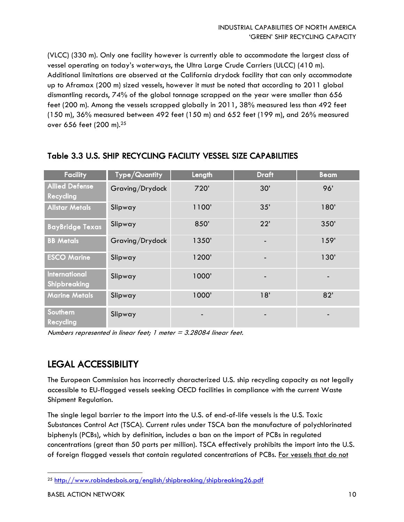(VLCC) (330 m). Only one facility however is currently able to accommodate the largest class of vessel operating on today's waterways, the Ultra Large Crude Carriers (ULCC) (410 m). Additional limitations are observed at the California drydock facility that can only accommodate up to Aframax (200 m) sized vessels, however it must be noted that according to 2011 global dismantling records, 74% of the global tonnage scrapped on the year were smaller than 656 feet (200 m). Among the vessels scrapped globally in 2011, 38% measured less than 492 feet (150 m), 36% measured between 492 feet (150 m) and 652 feet (199 m), and 26% measured over 656 feet (200 m).<sup>25</sup>

| <b>Facility</b>                      | <b>Type/Quantity</b> | Length | <b>Draft</b>             | <b>Beam</b> |
|--------------------------------------|----------------------|--------|--------------------------|-------------|
| <b>Allied Defense</b><br>Recycling   | Graving/Drydock      | 720'   | 30'                      | 96'         |
| <b>Allstar Metals</b>                | Slipway              | 1100'  | 35'                      | 180'        |
| <b>BayBridge Texas</b>               | Slipway              | 850'   | 22'                      | 350'        |
| <b>BB Metals</b>                     | Graving/Drydock      | 1350'  | $\overline{\phantom{a}}$ | 159'        |
| <b>ESCO Marine</b>                   | Slipway              | 1200'  | $\overline{\phantom{a}}$ | 130'        |
| <b>International</b><br>Shipbreaking | Slipway              | 1000'  |                          |             |
| <b>Marine Metals</b>                 | Slipway              | 1000'  | 18'                      | 82'         |
| Southern<br>Recycling                | Slipway              |        |                          |             |

### <span id="page-12-0"></span>Table 3.3 U.S. SHIP RECYCLING FACILITY VESSEL SIZE CAPABILITIES

Numbers represented in linear feet; 1 meter = 3.28084 linear feet.

## <span id="page-12-1"></span>LEGAL ACCESSIBILITY

The European Commission has incorrectly characterized U.S. ship recycling capacity as not legally accessible to EU-flagged vessels seeking OECD facilities in compliance with the current Waste Shipment Regulation.

The single legal barrier to the import into the U.S. of end-of-life vessels is the U.S. Toxic Substances Control Act (TSCA). Current rules under TSCA ban the manufacture of polychlorinated biphenyls (PCBs), which by definition, includes a ban on the import of PCBs in regulated concentrations (great than 50 parts per million). TSCA effectively prohibits the import into the U.S. of foreign flagged vessels that contain regulated concentrations of PCBs. For vessels that do not

<sup>25</sup> <http://www.robindesbois.org/english/shipbreaking/shipbreaking26.pdf>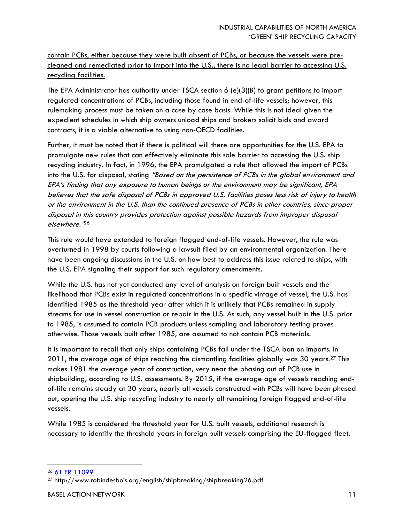contain PCBs, either because they were built absent of PCBs, or because the vessels were precleaned and remediated prior to import into the U.S., there is no legal barrier to accessing U.S. recycling facilities.

The EPA Administrator has authority under TSCA section 6 (e)(3)(B) to grant petitions to import regulated concentrations of PCBs, including those found in end-of-life vessels; however, this rulemaking process must be taken on a case by case basis. While this is not ideal given the expedient schedules in which ship owners unload ships and brokers solicit bids and award contracts, it is a viable alternative to using non-OECD facilities.

Further, it must be noted that if there is political will there are opportunities for the U.S. EPA to promulgate new rules that can effectively eliminate this sole barrier to accessing the U.S. ship recycling industry. In fact, in 1996, the EPA promulgated a rule that allowed the import of PCBs into the U.S. for disposal, stating "Based on the persistence of PCBs in the global environment and EPA's finding that any exposure to human beings or the environment may be significant, EPA believes that the safe disposal of PCBs in approved U.S. facilities poses less risk of injury to health or the environment in the U.S. than the continued presence of PCBs in other countries, since proper disposal in this country provides protection against possible hazards from improper disposal elsewhere." 26

This rule would have extended to foreign flagged end-of-life vessels. However, the rule was overturned in 1998 by courts following a lawsuit filed by an environmental organization. There have been ongoing discussions in the U.S. on how best to address this issue related to ships, with the U.S. EPA signaling their support for such regulatory amendments.

While the U.S. has not yet conducted any level of analysis on foreign built vessels and the likelihood that PCBs exist in regulated concentrations in a specific vintage of vessel, the U.S. has identified 1985 as the threshold year after which it is unlikely that PCBs remained in supply streams for use in vessel construction or repair in the U.S. As such, any vessel built in the U.S. prior to 1985, is assumed to contain PCB products unless sampling and laboratory testing proves otherwise. Those vessels built after 1985, are assumed to not contain PCB materials.

It is important to recall that only ships containing PCBs fall under the TSCA ban on imports. In 2011, the average age of ships reaching the dismantling facilities globally was 30 years.<sup>27</sup> This makes 1981 the average year of construction, very near the phasing out of PCB use in shipbuilding, according to U.S. assessments. By 2015, if the average age of vessels reaching endof-life remains steady at 30 years, nearly all vessels constructed with PCBs will have been phased out, opening the U.S. ship recycling industry to nearly all remaining foreign flagged end-of-life vessels.

While 1985 is considered the threshold year for U.S. built vessels, additional research is necessary to identify the threshold years in foreign built vessels comprising the EU-flagged fleet.

<sup>26</sup> [61 FR 11099](http://www.epa.gov/fedrgstr/EPA-TOX/1996/March/Day-18/pr-24122.txt.html)

<sup>27</sup> http://www.robindesbois.org/english/shipbreaking/shipbreaking26.pdf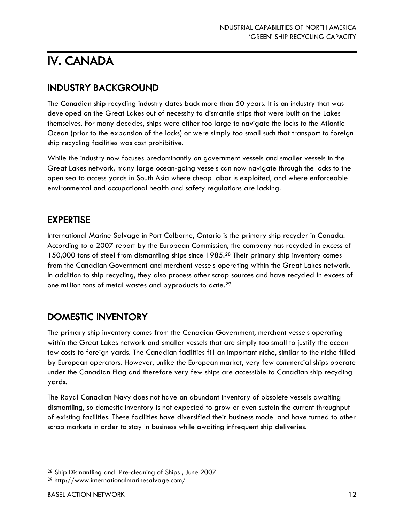# <span id="page-14-0"></span>IV. CANADA

### <span id="page-14-1"></span>INDUSTRY BACKGROUND

The Canadian ship recycling industry dates back more than 50 years. It is an industry that was developed on the Great Lakes out of necessity to dismantle ships that were built on the Lakes themselves. For many decades, ships were either too large to navigate the locks to the Atlantic Ocean (prior to the expansion of the locks) or were simply too small such that transport to foreign ship recycling facilities was cost prohibitive.

While the industry now focuses predominantly on government vessels and smaller vessels in the Great Lakes network, many large ocean-going vessels can now navigate through the locks to the open sea to access yards in South Asia where cheap labor is exploited, and where enforceable environmental and occupational health and safety regulations are lacking.

## <span id="page-14-2"></span>EXPERTISE

International Marine Salvage in Port Colborne, Ontario is the primary ship recycler in Canada. According to a 2007 report by the European Commission, the company has recycled in excess of 150,000 tons of steel from dismantling ships since 1985. <sup>28</sup> Their primary ship inventory comes from the Canadian Government and merchant vessels operating within the Great Lakes network. In addition to ship recycling, they also process other scrap sources and have recycled in excess of one million tons of metal wastes and byproducts to date.<sup>29</sup>

## <span id="page-14-3"></span>DOMESTIC INVENTORY

The primary ship inventory comes from the Canadian Government, merchant vessels operating within the Great Lakes network and smaller vessels that are simply too small to justify the ocean tow costs to foreign yards. The Canadian facilities fill an important niche, similar to the niche filled by European operators. However, unlike the European market, very few commercial ships operate under the Canadian Flag and therefore very few ships are accessible to Canadian ship recycling yards.

The Royal Canadian Navy does not have an abundant inventory of obsolete vessels awaiting dismantling, so domestic inventory is not expected to grow or even sustain the current throughput of existing facilities. These facilities have diversified their business model and have turned to other scrap markets in order to stay in business while awaiting infrequent ship deliveries.

<sup>28</sup> Ship Dismantling and Pre-cleaning of Ships , June 2007

<sup>29</sup> http://www.internationalmarinesalvage.com/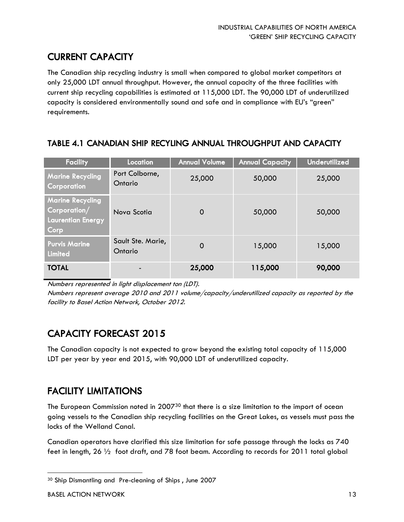## <span id="page-15-0"></span>CURRENT CAPACITY

The Canadian ship recycling industry is small when compared to global market competitors at only 25,000 LDT annual throughput. However, the annual capacity of the three facilities with current ship recycling capabilities is estimated at 115,000 LDT. The 90,000 LDT of underutilized capacity is considered environmentally sound and safe and in compliance with EU's "green" requirements.

| <b>Facility</b>                                                             | Location                     | <b>Annual Volume</b> | <b>Annual Capacity</b> | Underutilized |
|-----------------------------------------------------------------------------|------------------------------|----------------------|------------------------|---------------|
| <b>Marine Recycling</b><br>Corporation                                      | Port Colborne,<br>Ontario    | 25,000               | 50,000                 | 25,000        |
| <b>Marine Recycling</b><br>Corporation/<br><b>Laurentian Energy</b><br>Corp | Nova Scotia                  | $\mathbf 0$          | 50,000                 | 50,000        |
| <b>Purvis Marine</b><br><b>Limited</b>                                      | Sault Ste. Marie,<br>Ontario | 0                    | 15,000                 | 15,000        |
| <b>TOTAL</b>                                                                |                              | 25,000               | 115,000                | 90,000        |

#### <span id="page-15-1"></span>TABLE 4.1 CANADIAN SHIP RECYLING ANNUAL THROUGHPUT AND CAPACITY

Numbers represented in light displacement ton (LDT).

Numbers represent average 2010 and 2011 volume/capacity/underutilized capacity as reported by the facility to Basel Action Network, October 2012.

## <span id="page-15-2"></span>CAPACITY FORECAST 2015

The Canadian capacity is not expected to grow beyond the existing total capacity of 115,000 LDT per year by year end 2015, with 90,000 LDT of underutilized capacity.

## <span id="page-15-3"></span>FACILITY LIMITATIONS

The European Commission noted in 2007<sup>30</sup> that there is a size limitation to the import of ocean going vessels to the Canadian ship recycling facilities on the Great Lakes, as vessels must pass the locks of the Welland Canal.

Canadian operators have clarified this size limitation for safe passage through the locks as 740 feet in length,  $26\frac{1}{2}$  foot draft, and 78 foot beam. According to records for 2011 total global

<sup>30</sup> Ship Dismantling and Pre-cleaning of Ships , June 2007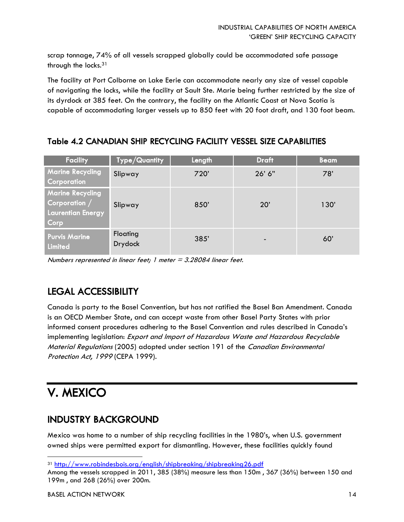scrap tonnage, 74% of all vessels scrapped globally could be accommodated safe passage through the locks.<sup>31</sup>

The facility at Port Colborne on Lake Eerie can accommodate nearly any size of vessel capable of navigating the locks, while the facility at Sault Ste. Marie being further restricted by the size of its dyrdock at 385 feet. On the contrary, the facility on the Atlantic Coast at Nova Scotia is capable of accommodating larger vessels up to 850 feet with 20 foot draft, and 130 foot beam.

#### <span id="page-16-0"></span>Table 4.2 CANADIAN SHIP RECYCLING FACILITY VESSEL SIZE CAPABILITIES

| <b>Facility</b>                                                       | <b>Type/Quantity</b> | Length | <b>Draft</b>                 | Beam |
|-----------------------------------------------------------------------|----------------------|--------|------------------------------|------|
| <b>Marine Recycling</b><br><b>Corporation</b>                         | Slipway              | 720'   | 26' 6''                      | 78'  |
| <b>Marine Recycling</b><br>Corporation /<br>Laurentian Energy<br>Corp | Slipway              | 850'   | $20^{\circ}$                 | 130' |
| <b>Purvis Marine</b><br>Limited                                       | Floating<br>Drydock  | 385'   | $\qquad \qquad \blacksquare$ | 60'  |

Numbers represented in linear feet; 1 meter  $= 3.28084$  linear feet.

## <span id="page-16-1"></span>LEGAL ACCESSIBILITY

Canada is party to the Basel Convention, but has not ratified the Basel Ban Amendment. Canada is an OECD Member State, and can accept waste from other Basel Party States with prior informed consent procedures adhering to the Basel Convention and rules described in Canada's implementing legislation: Export and Import of Hazardous Waste and Hazardous Recyclable Material Regulations (2005) adopted under section 191 of the Canadian Environmental Protection Act, 1999 (CEPA 1999).

# <span id="page-16-2"></span>V. MEXICO

 $\overline{a}$ 

### INDUSTRY BACKGROUND

Mexico was home to a number of ship recycling facilities in the 1980's, when U.S. government owned ships were permitted export for dismantling. However, these facilities quickly found

<sup>31</sup> <http://www.robindesbois.org/english/shipbreaking/shipbreaking26.pdf>

Among the vessels scrapped in 2011, 385 (38%) measure less than 150m , 367 (36%) between 150 and 199m , and 268 (26%) over 200m.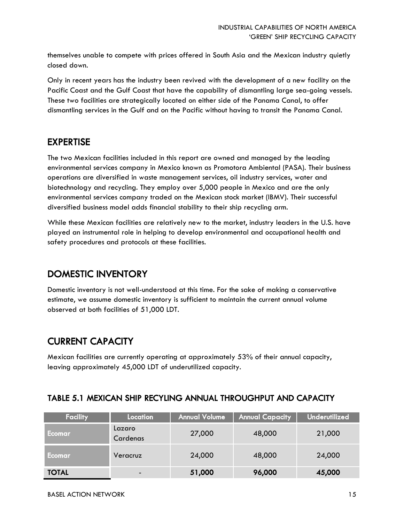themselves unable to compete with prices offered in South Asia and the Mexican industry quietly closed down.

Only in recent years has the industry been revived with the development of a new facility on the Pacific Coast and the Gulf Coast that have the capability of dismantling large sea-going vessels. These two facilities are strategically located on either side of the Panama Canal, to offer dismantling services in the Gulf and on the Pacific without having to transit the Panama Canal.

### <span id="page-17-0"></span>EXPERTISE

The two Mexican facilities included in this report are owned and managed by the leading environmental services company in Mexico known as Promotora Ambiental (PASA). Their business operations are diversified in waste management services, oil industry services, water and biotechnology and recycling. They employ over 5,000 people in Mexico and are the only environmental services company traded on the Mexican stock market (IBMV). Their successful diversified business model adds financial stability to their ship recycling arm.

While these Mexican facilities are relatively new to the market, industry leaders in the U.S. have played an instrumental role in helping to develop environmental and occupational health and safety procedures and protocols at these facilities.

## <span id="page-17-1"></span>DOMESTIC INVENTORY

Domestic inventory is not well-understood at this time. For the sake of making a conservative estimate, we assume domestic inventory is sufficient to maintain the current annual volume observed at both facilities of 51,000 LDT.

## <span id="page-17-2"></span>CURRENT CAPACITY

Mexican facilities are currently operating at approximately 53% of their annual capacity, leaving approximately 45,000 LDT of underutilized capacity.

#### <span id="page-17-3"></span>TABLE 5.1 MEXICAN SHIP RECYLING ANNUAL THROUGHPUT AND CAPACITY

| <b>Facility</b> | Location                 | <b>Annual Volume</b> | <b>Annual Capacity</b> | <b>Underutilized</b> |
|-----------------|--------------------------|----------------------|------------------------|----------------------|
| <u>Ecomar</u>   | Lazaro<br>Cardenas       | 27,000               | 48,000                 | 21,000               |
| <u>/ Ecomar</u> | Veracruz                 | 24,000               | 48,000                 | 24,000               |
| <b>TOTAL</b>    | $\overline{\phantom{0}}$ | 51,000               | 96,000                 | 45,000               |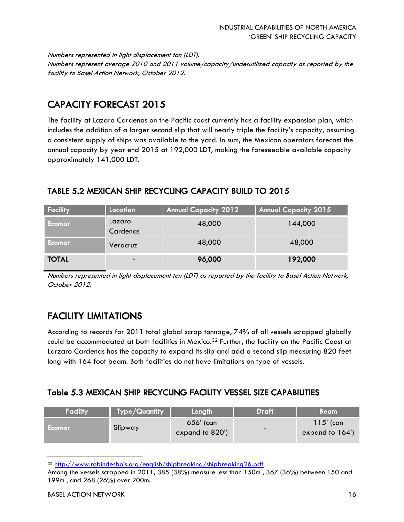Numbers represented in light displacement ton (LDT). Numbers represent average 2010 and 2011 volume/capacity/underutilized capacity as reported by the facility to Basel Action Network, October 2012.

## <span id="page-18-0"></span>CAPACITY FORECAST 2015

The facility at Lazaro Cardenas on the Pacific coast currently has a facility expansion plan, which includes the addition of a larger second slip that will nearly triple the facility's capacity, assuming a consistent supply of ships was available to the yard. In sum, the Mexican operators forecast the annual capacity by year end 2015 at 192,000 LDT, making the foreseeable available capacity approximately 141,000 LDT.

### <span id="page-18-1"></span>TABLE 5.2 MEXICAN SHIP RECYCLING CAPACITY BUILD TO 2015

| <b>Facility</b> | Location                 | Annual Capacity 2012 | <b>Annual Capacity 2015</b> |
|-----------------|--------------------------|----------------------|-----------------------------|
| Ecomar          | Lazaro<br>Cardenas       | 48,000               | 144,000                     |
| Ecomar          | Veracruz                 | 48,000               | 48,000                      |
| <b>TOTAL</b>    | $\overline{\phantom{a}}$ | 96,000               | 192,000                     |

Numbers represented in light displacement ton (LDT) as reported by the facility to Basel Action Network, October 2012.

## <span id="page-18-2"></span>FACILITY LIMITATIONS

According to records for 2011 total global scrap tonnage, 74% of all vessels scrapped globally could be accommodated at both facilities in Mexico.<sup>32</sup> Further, the facility on the Pacific Coast at Larzaro Cardenas has the capacity to expand its slip and add a second slip measuring 820 feet long with 164 foot beam. Both facilities do not have limitations on type of vessels.

### <span id="page-18-3"></span>Table 5.3 MEXICAN SHIP RECYCLING FACILITY VESSEL SIZE CAPABILITIES

| <b>Facility</b> | Type/Quantity | Length                       | <b>Draft</b>             | <b>Beam</b>                    |
|-----------------|---------------|------------------------------|--------------------------|--------------------------------|
| Ecomar          | Slipway       | 656' (can<br>expand to 820') | $\overline{\phantom{0}}$ | $115'$ (can<br>expand to 164') |

 $\overline{a}$ <sup>32</sup> <http://www.robindesbois.org/english/shipbreaking/shipbreaking26.pdf>

Among the vessels scrapped in 2011, 385 (38%) measure less than 150m , 367 (36%) between 150 and 199m , and 268 (26%) over 200m.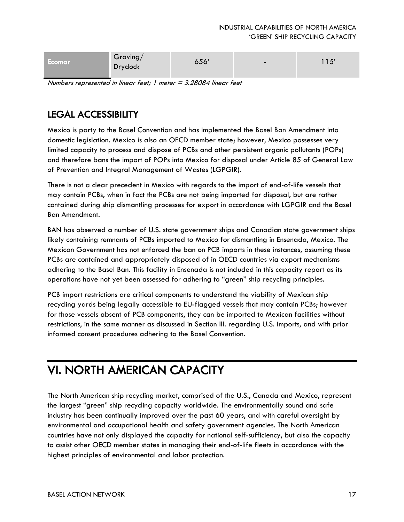| Graving/<br><b>Ecomar</b><br><b>Drydock</b> | 656' | - | 115' |
|---------------------------------------------|------|---|------|
|---------------------------------------------|------|---|------|

Numbers represented in linear feet; 1 meter  $=$  3.28084 linear feet

## <span id="page-19-0"></span>LEGAL ACCESSIBILITY

Mexico is party to the Basel Convention and has implemented the Basel Ban Amendment into domestic legislation. Mexico is also an OECD member state; however, Mexico possesses very limited capacity to process and dispose of PCBs and other persistent organic pollutants (POPs) and therefore bans the import of POPs into Mexico for disposal under Article 85 of General Law of Prevention and Integral Management of Wastes (LGPGIR).

There is not a clear precedent in Mexico with regards to the import of end-of-life vessels that may contain PCBs, when in fact the PCBs are not being imported for disposal, but are rather contained during ship dismantling processes for export in accordance with LGPGIR and the Basel Ban Amendment.

BAN has observed a number of U.S. state government ships and Canadian state government ships likely containing remnants of PCBs imported to Mexico for dismantling in Ensenada, Mexico. The Mexican Government has not enforced the ban on PCB imports in these instances, assuming these PCBs are contained and appropriately disposed of in OECD countries via export mechanisms adhering to the Basel Ban. This facility in Ensenada is not included in this capacity report as its operations have not yet been assessed for adhering to "green" ship recycling principles.

PCB import restrictions are critical components to understand the viability of Mexican ship recycling yards being legally accessible to EU-flagged vessels that may contain PCBs; however for those vessels absent of PCB components, they can be imported to Mexican facilities without restrictions, in the same manner as discussed in Section III. regarding U.S. imports, and with prior informed consent procedures adhering to the Basel Convention.

# <span id="page-19-1"></span>VI. NORTH AMERICAN CAPACITY

The North American ship recycling market, comprised of the U.S., Canada and Mexico, represent the largest "green" ship recycling capacity worldwide. The environmentally sound and safe industry has been continually improved over the past 60 years, and with careful oversight by environmental and occupational health and safety government agencies. The North American countries have not only displayed the capacity for national self-sufficiency, but also the capacity to assist other OECD member states in managing their end-of-life fleets in accordance with the highest principles of environmental and labor protection.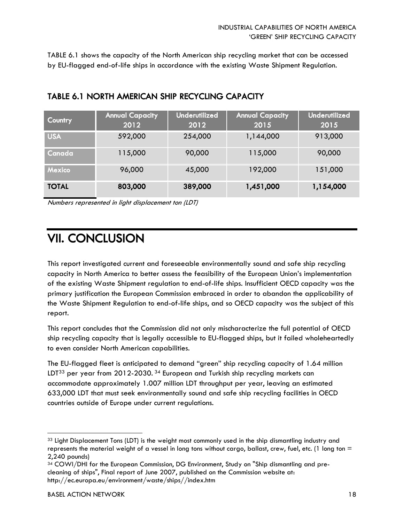TABLE 6.1 shows the capacity of the North American ship recycling market that can be accessed by EU-flagged end-of-life ships in accordance with the existing Waste Shipment Regulation.

| Country      | <b>Annual Capacity</b><br>2012 | <b>Underutilized</b><br>2012 | <b>Annual Capacity</b><br>2015 | <b>Underutilized</b><br>2015 |
|--------------|--------------------------------|------------------------------|--------------------------------|------------------------------|
| <b>USA</b>   | 592,000                        | 254,000                      | 1,144,000                      | 913,000                      |
| Canada       | 115,000                        | 90,000                       | 115,000                        | 90,000                       |
| Mexico       | 96,000                         | 45,000                       | 192,000                        | 151,000                      |
| <b>TOTAL</b> | 803,000                        | 389,000                      | 1,451,000                      | 1,154,000                    |

### <span id="page-20-0"></span>TABLE 6.1 NORTH AMERICAN SHIP RECYCLING CAPACITY

Numbers represented in light displacement ton (LDT)

# <span id="page-20-1"></span>VII. CONCLUSION

This report investigated current and foreseeable environmentally sound and safe ship recycling capacity in North America to better assess the feasibility of the European Union's implementation of the existing Waste Shipment regulation to end-of-life ships. Insufficient OECD capacity was the primary justification the European Commission embraced in order to abandon the applicability of the Waste Shipment Regulation to end-of-life ships, and so OECD capacity was the subject of this report.

This report concludes that the Commission did not only mischaracterize the full potential of OECD ship recycling capacity that is legally accessible to EU-flagged ships, but it failed wholeheartedly to even consider North American capabilities.

The EU-flagged fleet is anticipated to demand "green" ship recycling capacity of 1.64 million LDT<sup>33</sup> per year from 2012-2030.<sup>34</sup> European and Turkish ship recycling markets can accommodate approximately 1.007 million LDT throughput per year, leaving an estimated 633,000 LDT that must seek environmentally sound and safe ship recycling facilities in OECD countries outside of Europe under current regulations.

<sup>&</sup>lt;sup>33</sup> Light Displacement Tons (LDT) is the weight most commonly used in the ship dismantling industry and represents the material weight of a vessel in long tons without cargo, ballast, crew, fuel, etc. (1 long ton = 2,240 pounds)

<sup>34</sup> COWI/DHI for the European Commission, DG Environment, Study on "Ship dismantling and precleaning of ships", Final report of June 2007, published on the Commission website at: http://ec.europa.eu/environment/waste/ships//index.htm